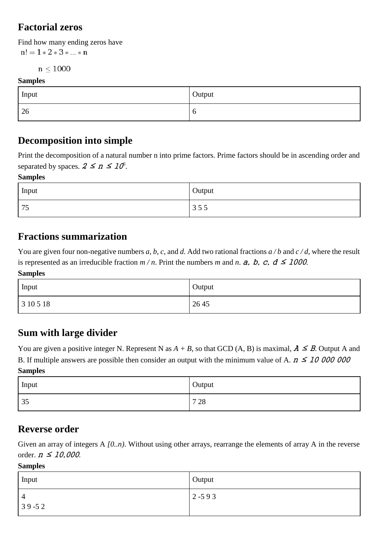## **Factorial zeros**

Find how many ending zeros have  $n! = 1 * 2 * 3 * ... * n$ 

 $n < 1000$ 

#### **Samples**

| Input | Output |
|-------|--------|
| 26    | - U    |

### **Decomposition into simple**

Print the decomposition of a natural number n into prime factors. Prime factors should be in ascending order and separated by spaces.  $2 \le n \le 10^6$ .

#### **Samples**

| Input     | Output                                                      |
|-----------|-------------------------------------------------------------|
| 75<br>ر ر | $\overline{\phantom{0}}$<br>$\overline{\phantom{0}}$<br>333 |

## **Fractions summarization**

You are given four non-negative numbers *a*, *b*, *c*, and *d*. Add two rational fractions  $a/b$  and  $c/d$ , where the result is represented as an irreducible fraction  $m/n$ . Print the numbers m and n.  $a$ , b, c,  $d \leq 1000$ .

**Samples**

| Input     | Output |
|-----------|--------|
| 3 10 5 18 | 26 45  |

### **Sum with large divider**

You are given a positive integer N. Represent N as  $A + B$ , so that GCD (A, B) is maximal,  $A \leq B$ . Output A and B. If multiple answers are possible then consider an output with the minimum value of A.  $n \le 10000000$ **Samples**

| Input<br>$\overline{\phantom{a}}$ | Output |
|-----------------------------------|--------|
| 35                                | 7 2 8  |

#### **Reverse order**

Given an array of integers A  $[0..n]$ . Without using other arrays, rearrange the elements of array A in the reverse order.  $n \leq 10,000$ .

#### **Samples**

| Input                       | Output    |
|-----------------------------|-----------|
| $\overline{4}$<br>$39 - 52$ | $2 - 593$ |